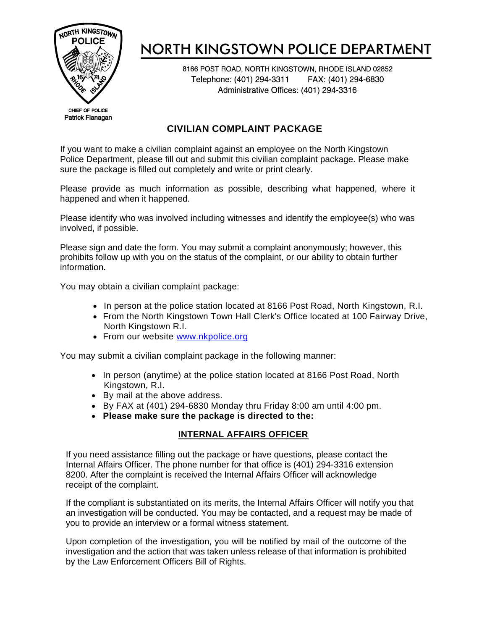

# NORTH KINGSTOWN POLICE DEPARTMENT

8166 POST ROAD, NORTH KINGSTOWN, RHODE ISLAND 02852 Telephone: (401) 294-3311 FAX: (401) 294-6830 Administrative Offices: (401) 294-3316

CHIEF OF POLICE Patrick Flanagan

### **CIVILIAN COMPLAINT PACKAGE**

If you want to make a civilian complaint against an employee on the North Kingstown Police Department, please fill out and submit this civilian complaint package. Please make sure the package is filled out completely and write or print clearly.

Please provide as much information as possible, describing what happened, where it happened and when it happened.

Please identify who was involved including witnesses and identify the employee(s) who was involved, if possible.

Please sign and date the form. You may submit a complaint anonymously; however, this prohibits follow up with you on the status of the complaint, or our ability to obtain further information.

You may obtain a civilian complaint package:

- In person at the police station located at 8166 Post Road, North Kingstown, R.I.
- From the North Kingstown Town Hall Clerk's Office located at 100 Fairway Drive, North Kingstown R.I.
- From our website [www.nkpolice.org](http://www.nkpolice.org/)

You may submit a civilian complaint package in the following manner:

- In person (anytime) at the police station located at 8166 Post Road, North Kingstown, R.I.
- By mail at the above address.
- By FAX at (401) 294-6830 Monday thru Friday 8:00 am until 4:00 pm.
- **Please make sure the package is directed to the:**

### **INTERNAL AFFAIRS OFFICER**

If you need assistance filling out the package or have questions, please contact the Internal Affairs Officer. The phone number for that office is (401) 294-3316 extension 8200. After the complaint is received the Internal Affairs Officer will acknowledge receipt of the complaint.

If the compliant is substantiated on its merits, the Internal Affairs Officer will notify you that an investigation will be conducted. You may be contacted, and a request may be made of you to provide an interview or a formal witness statement.

Upon completion of the investigation, you will be notified by mail of the outcome of the investigation and the action that was taken unless release of that information is prohibited by the Law Enforcement Officers Bill of Rights.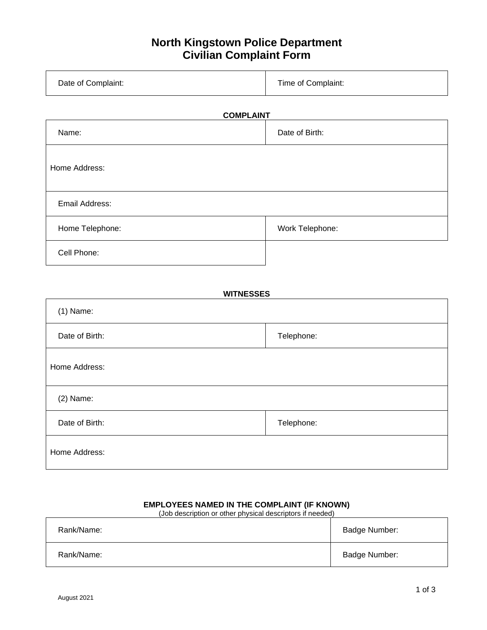### **North Kingstown Police Department Civilian Complaint Form**

| Date of Complaint: | Time of Complaint: |
|--------------------|--------------------|
|                    |                    |

## **COMPLAINT**

| Name:           | Date of Birth:  |  |  |
|-----------------|-----------------|--|--|
| Home Address:   |                 |  |  |
| Email Address:  |                 |  |  |
| Home Telephone: | Work Telephone: |  |  |
| Cell Phone:     |                 |  |  |

| <b>WITNESSES</b> |            |  |
|------------------|------------|--|
| $(1)$ Name:      |            |  |
| Date of Birth:   | Telephone: |  |
| Home Address:    |            |  |
| $(2)$ Name:      |            |  |
| Date of Birth:   | Telephone: |  |
| Home Address:    |            |  |

### **EMPLOYEES NAMED IN THE COMPLAINT (IF KNOWN)**

(Job description or other physical descriptors if needed)

| Rank/Name: | Badge Number: |
|------------|---------------|
| Rank/Name: | Badge Number: |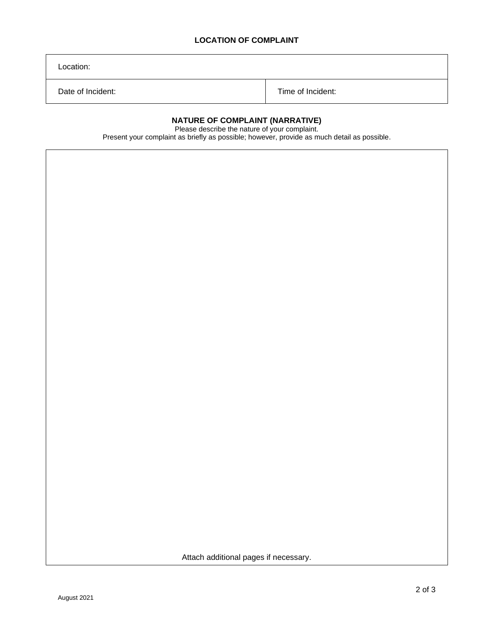#### **LOCATION OF COMPLAINT**

Location:

Date of Incident: Time of Incident:

#### **NATURE OF COMPLAINT (NARRATIVE)**

Please describe the nature of your complaint.

Present your complaint as briefly as possible; however, provide as much detail as possible.

Attach additional pages if necessary.